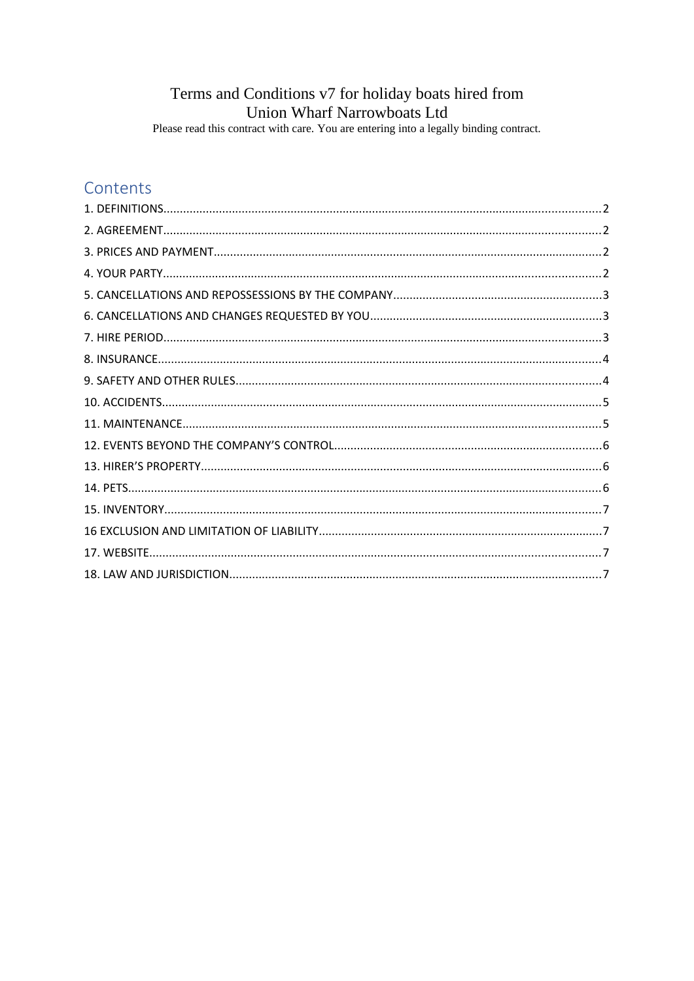## Terms and Conditions v7 for holiday boats hired from Union Wharf Narrowboats Ltd

Please read this contract with care. You are entering into a legally binding contract.

# Contents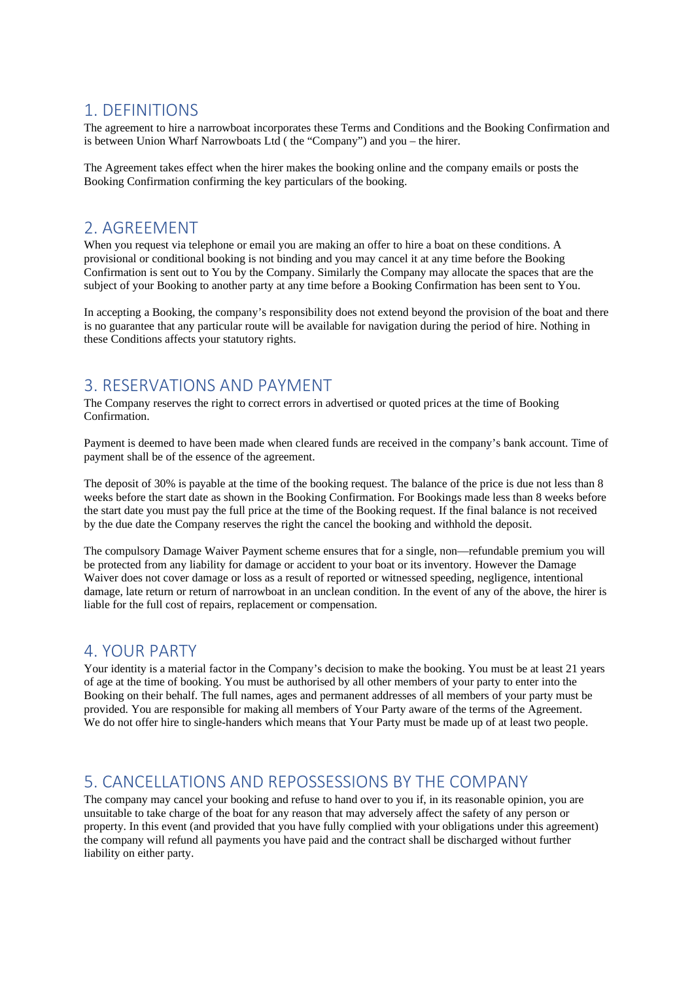#### <span id="page-1-4"></span>1. DEFINITIONS

The agreement to hire a narrowboat incorporates these Terms and Conditions and the Booking Confirmation and is between Union Wharf Narrowboats Ltd ( the "Company") and you – the hirer.

The Agreement takes effect when the hirer makes the booking online and the company emails or posts the Booking Confirmation confirming the key particulars of the booking.

### <span id="page-1-3"></span>2. AGREEMENT

When you request via telephone or email you are making an offer to hire a boat on these conditions. A provisional or conditional booking is not binding and you may cancel it at any time before the Booking Confirmation is sent out to You by the Company. Similarly the Company may allocate the spaces that are the subject of your Booking to another party at any time before a Booking Confirmation has been sent to You.

In accepting a Booking, the company's responsibility does not extend beyond the provision of the boat and there is no guarantee that any particular route will be available for navigation during the period of hire. Nothing in these Conditions affects your statutory rights.

### <span id="page-1-2"></span>3. RESERVATIONS AND PAYMENT

The Company reserves the right to correct errors in advertised or quoted prices at the time of Booking Confirmation.

Payment is deemed to have been made when cleared funds are received in the company's bank account. Time of payment shall be of the essence of the agreement.

The deposit of 30% is payable at the time of the booking request. The balance of the price is due not less than 8 weeks before the start date as shown in the Booking Confirmation. For Bookings made less than 8 weeks before the start date you must pay the full price at the time of the Booking request. If the final balance is not received by the due date the Company reserves the right the cancel the booking and withhold the deposit.

The compulsory Damage Waiver Payment scheme ensures that for a single, non—refundable premium you will be protected from any liability for damage or accident to your boat or its inventory. However the Damage Waiver does not cover damage or loss as a result of reported or witnessed speeding, negligence, intentional damage, late return or return of narrowboat in an unclean condition. In the event of any of the above, the hirer is liable for the full cost of repairs, replacement or compensation.

#### <span id="page-1-1"></span>4. YOUR PARTY

Your identity is a material factor in the Company's decision to make the booking. You must be at least 21 years of age at the time of booking. You must be authorised by all other members of your party to enter into the Booking on their behalf. The full names, ages and permanent addresses of all members of your party must be provided. You are responsible for making all members of Your Party aware of the terms of the Agreement. We do not offer hire to single-handers which means that Your Party must be made up of at least two people.

## <span id="page-1-0"></span>5. CANCELLATIONS AND REPOSSESSIONS BY THE COMPANY

The company may cancel your booking and refuse to hand over to you if, in its reasonable opinion, you are unsuitable to take charge of the boat for any reason that may adversely affect the safety of any person or property. In this event (and provided that you have fully complied with your obligations under this agreement) the company will refund all payments you have paid and the contract shall be discharged without further liability on either party.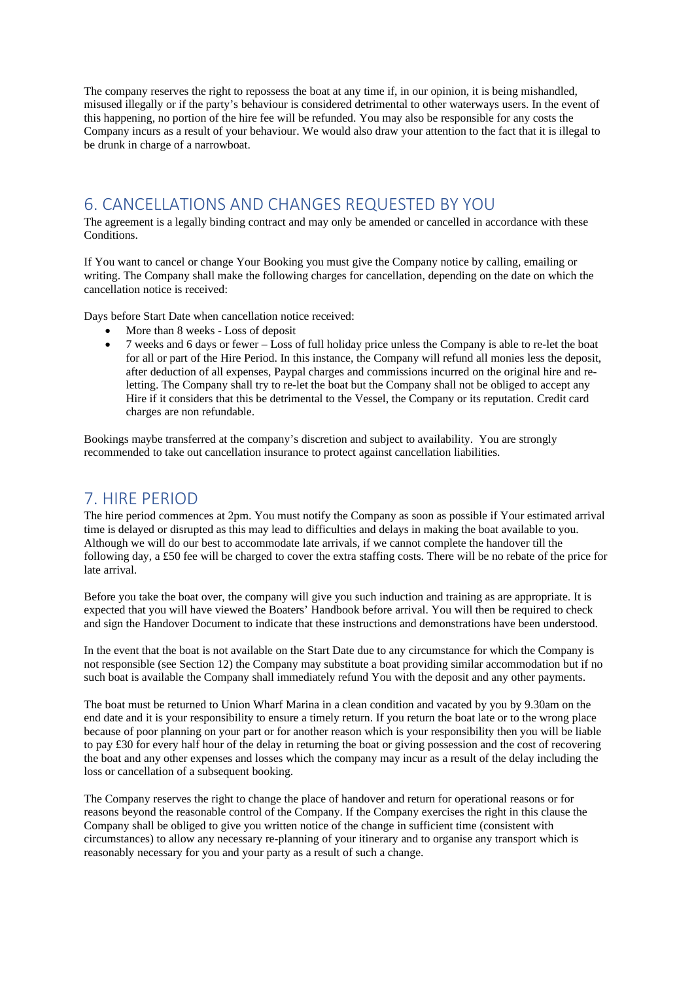The company reserves the right to repossess the boat at any time if, in our opinion, it is being mishandled, misused illegally or if the party's behaviour is considered detrimental to other waterways users. In the event of this happening, no portion of the hire fee will be refunded. You may also be responsible for any costs the Company incurs as a result of your behaviour. We would also draw your attention to the fact that it is illegal to be drunk in charge of a narrowboat.

#### <span id="page-2-1"></span>6. CANCELLATIONS AND CHANGES REQUESTED BY YOU

The agreement is a legally binding contract and may only be amended or cancelled in accordance with these Conditions.

If You want to cancel or change Your Booking you must give the Company notice by calling, emailing or writing. The Company shall make the following charges for cancellation, depending on the date on which the cancellation notice is received:

Days before Start Date when cancellation notice received:

- More than 8 weeks Loss of deposit
- 7 weeks and 6 days or fewer Loss of full holiday price unless the Company is able to re-let the boat for all or part of the Hire Period. In this instance, the Company will refund all monies less the deposit, after deduction of all expenses, Paypal charges and commissions incurred on the original hire and reletting. The Company shall try to re-let the boat but the Company shall not be obliged to accept any Hire if it considers that this be detrimental to the Vessel, the Company or its reputation. Credit card charges are non refundable.

Bookings maybe transferred at the company's discretion and subject to availability. You are strongly recommended to take out cancellation insurance to protect against cancellation liabilities.

### <span id="page-2-0"></span>7. HIRE PERIOD

The hire period commences at 2pm. You must notify the Company as soon as possible if Your estimated arrival time is delayed or disrupted as this may lead to difficulties and delays in making the boat available to you. Although we will do our best to accommodate late arrivals, if we cannot complete the handover till the following day, a £50 fee will be charged to cover the extra staffing costs. There will be no rebate of the price for late arrival.

Before you take the boat over, the company will give you such induction and training as are appropriate. It is expected that you will have viewed the Boaters' Handbook before arrival. You will then be required to check and sign the Handover Document to indicate that these instructions and demonstrations have been understood.

In the event that the boat is not available on the Start Date due to any circumstance for which the Company is not responsible (see Section 12) the Company may substitute a boat providing similar accommodation but if no such boat is available the Company shall immediately refund You with the deposit and any other payments.

The boat must be returned to Union Wharf Marina in a clean condition and vacated by you by 9.30am on the end date and it is your responsibility to ensure a timely return. If you return the boat late or to the wrong place because of poor planning on your part or for another reason which is your responsibility then you will be liable to pay £30 for every half hour of the delay in returning the boat or giving possession and the cost of recovering the boat and any other expenses and losses which the company may incur as a result of the delay including the loss or cancellation of a subsequent booking.

The Company reserves the right to change the place of handover and return for operational reasons or for reasons beyond the reasonable control of the Company. If the Company exercises the right in this clause the Company shall be obliged to give you written notice of the change in sufficient time (consistent with circumstances) to allow any necessary re-planning of your itinerary and to organise any transport which is reasonably necessary for you and your party as a result of such a change.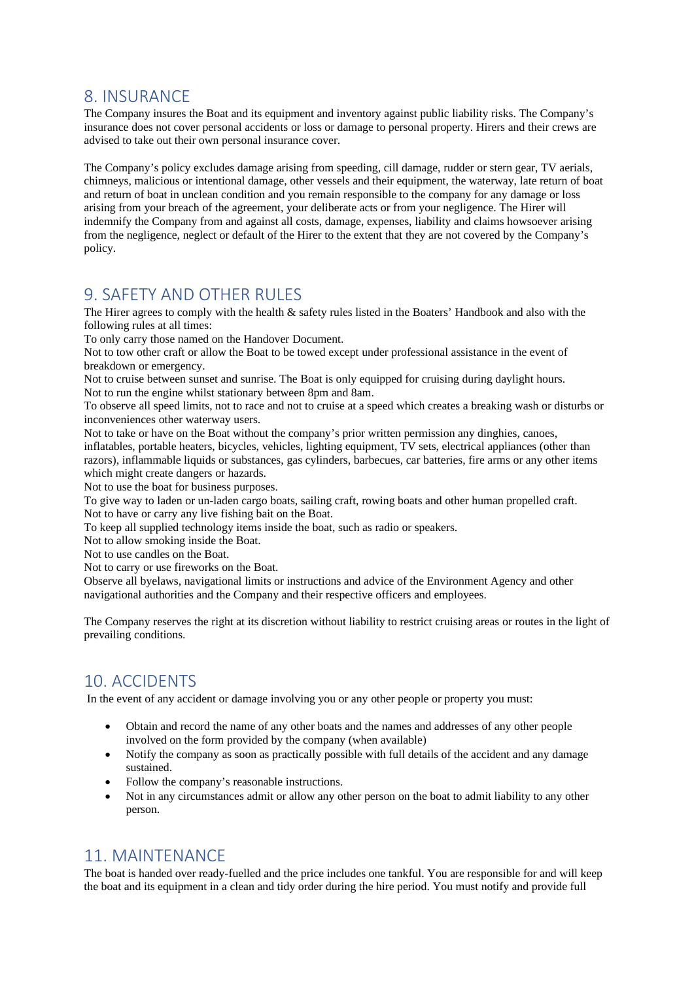#### <span id="page-3-3"></span>8. INSURANCE

The Company insures the Boat and its equipment and inventory against public liability risks. The Company's insurance does not cover personal accidents or loss or damage to personal property. Hirers and their crews are advised to take out their own personal insurance cover.

The Company's policy excludes damage arising from speeding, cill damage, rudder or stern gear, TV aerials, chimneys, malicious or intentional damage, other vessels and their equipment, the waterway, late return of boat and return of boat in unclean condition and you remain responsible to the company for any damage or loss arising from your breach of the agreement, your deliberate acts or from your negligence. The Hirer will indemnify the Company from and against all costs, damage, expenses, liability and claims howsoever arising from the negligence, neglect or default of the Hirer to the extent that they are not covered by the Company's policy.

#### <span id="page-3-2"></span>9. SAFETY AND OTHER RULES

The Hirer agrees to comply with the health & safety rules listed in the Boaters' Handbook and also with the following rules at all times:

To only carry those named on the Handover Document.

Not to tow other craft or allow the Boat to be towed except under professional assistance in the event of breakdown or emergency.

Not to cruise between sunset and sunrise. The Boat is only equipped for cruising during daylight hours. Not to run the engine whilst stationary between 8pm and 8am.

To observe all speed limits, not to race and not to cruise at a speed which creates a breaking wash or disturbs or inconveniences other waterway users.

Not to take or have on the Boat without the company's prior written permission any dinghies, canoes, inflatables, portable heaters, bicycles, vehicles, lighting equipment, TV sets, electrical appliances (other than razors), inflammable liquids or substances, gas cylinders, barbecues, car batteries, fire arms or any other items which might create dangers or hazards.

Not to use the boat for business purposes.

To give way to laden or un-laden cargo boats, sailing craft, rowing boats and other human propelled craft. Not to have or carry any live fishing bait on the Boat.

To keep all supplied technology items inside the boat, such as radio or speakers.

Not to allow smoking inside the Boat.

Not to use candles on the Boat.

Not to carry or use fireworks on the Boat.

Observe all byelaws, navigational limits or instructions and advice of the Environment Agency and other navigational authorities and the Company and their respective officers and employees.

The Company reserves the right at its discretion without liability to restrict cruising areas or routes in the light of prevailing conditions.

## <span id="page-3-1"></span>10. ACCIDENTS

In the event of any accident or damage involving you or any other people or property you must:

- Obtain and record the name of any other boats and the names and addresses of any other people involved on the form provided by the company (when available)
- Notify the company as soon as practically possible with full details of the accident and any damage sustained.
- Follow the company's reasonable instructions.
- Not in any circumstances admit or allow any other person on the boat to admit liability to any other person.

### <span id="page-3-0"></span>11. MAINTENANCE

The boat is handed over ready-fuelled and the price includes one tankful. You are responsible for and will keep the boat and its equipment in a clean and tidy order during the hire period. You must notify and provide full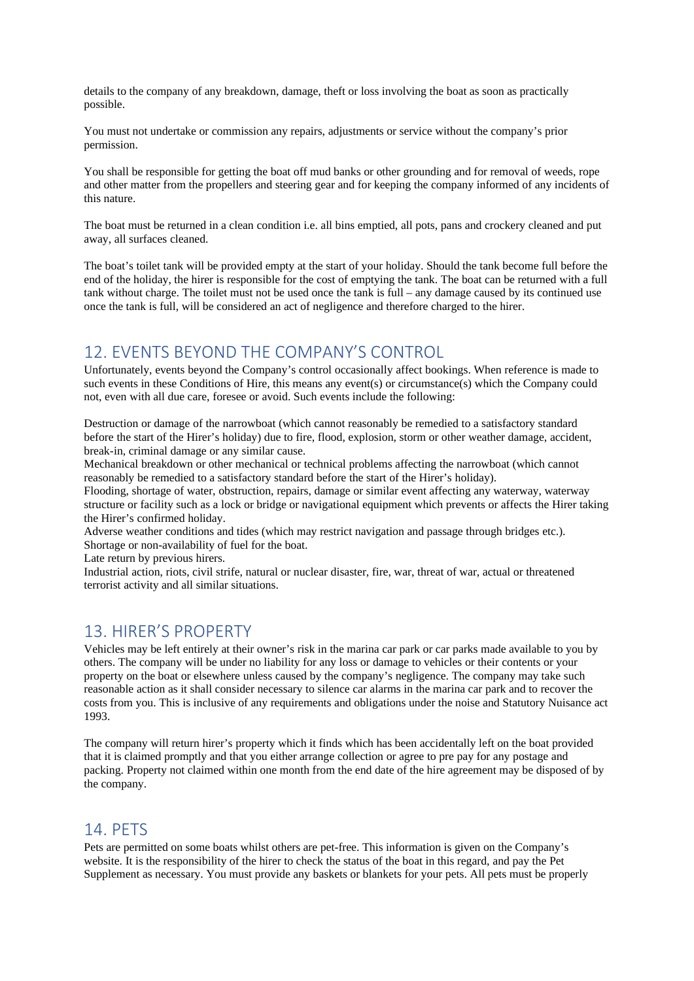details to the company of any breakdown, damage, theft or loss involving the boat as soon as practically possible.

You must not undertake or commission any repairs, adjustments or service without the company's prior permission.

You shall be responsible for getting the boat off mud banks or other grounding and for removal of weeds, rope and other matter from the propellers and steering gear and for keeping the company informed of any incidents of this nature.

The boat must be returned in a clean condition i.e. all bins emptied, all pots, pans and crockery cleaned and put away, all surfaces cleaned.

The boat's toilet tank will be provided empty at the start of your holiday. Should the tank become full before the end of the holiday, the hirer is responsible for the cost of emptying the tank. The boat can be returned with a full tank without charge. The toilet must not be used once the tank is full – any damage caused by its continued use once the tank is full, will be considered an act of negligence and therefore charged to the hirer.

### <span id="page-4-2"></span>12. EVENTS BEYOND THE COMPANY'S CONTROL

Unfortunately, events beyond the Company's control occasionally affect bookings. When reference is made to such events in these Conditions of Hire, this means any event(s) or circumstance(s) which the Company could not, even with all due care, foresee or avoid. Such events include the following:

Destruction or damage of the narrowboat (which cannot reasonably be remedied to a satisfactory standard before the start of the Hirer's holiday) due to fire, flood, explosion, storm or other weather damage, accident, break-in, criminal damage or any similar cause.

Mechanical breakdown or other mechanical or technical problems affecting the narrowboat (which cannot reasonably be remedied to a satisfactory standard before the start of the Hirer's holiday).

Flooding, shortage of water, obstruction, repairs, damage or similar event affecting any waterway, waterway structure or facility such as a lock or bridge or navigational equipment which prevents or affects the Hirer taking the Hirer's confirmed holiday.

Adverse weather conditions and tides (which may restrict navigation and passage through bridges etc.). Shortage or non-availability of fuel for the boat.

Late return by previous hirers.

Industrial action, riots, civil strife, natural or nuclear disaster, fire, war, threat of war, actual or threatened terrorist activity and all similar situations.

#### <span id="page-4-1"></span>13. HIRER'S PROPERTY

Vehicles may be left entirely at their owner's risk in the marina car park or car parks made available to you by others. The company will be under no liability for any loss or damage to vehicles or their contents or your property on the boat or elsewhere unless caused by the company's negligence. The company may take such reasonable action as it shall consider necessary to silence car alarms in the marina car park and to recover the costs from you. This is inclusive of any requirements and obligations under the noise and Statutory Nuisance act 1993.

The company will return hirer's property which it finds which has been accidentally left on the boat provided that it is claimed promptly and that you either arrange collection or agree to pre pay for any postage and packing. Property not claimed within one month from the end date of the hire agreement may be disposed of by the company.

#### <span id="page-4-0"></span>14. PETS

Pets are permitted on some boats whilst others are pet-free. This information is given on the Company's website. It is the responsibility of the hirer to check the status of the boat in this regard, and pay the Pet Supplement as necessary. You must provide any baskets or blankets for your pets. All pets must be properly